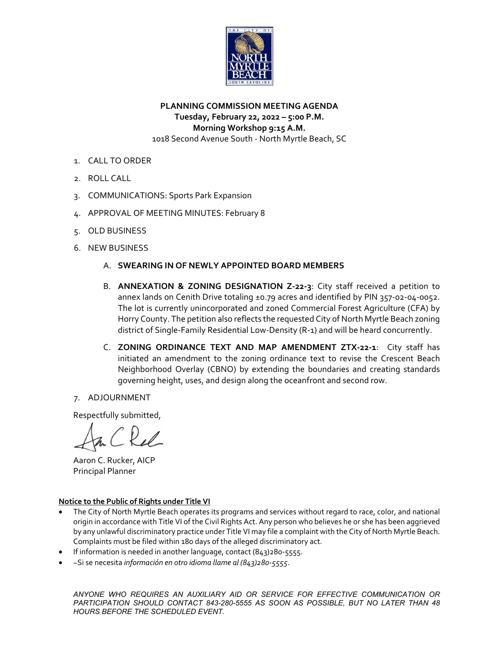

# **PLANNING COMMISSION MEETING AGENDA Tuesday, February 22, 2022 – 5:00 P.M. Morning Workshop 9:15 A.M.** 1018 Second Avenue South ‐ North Myrtle Beach, SC

- 1. CALL TO ORDER
- 2. ROLL CALL
- 3. COMMUNICATIONS: Sports Park Expansion
- 4. APPROVAL OF MEETING MINUTES: February 8
- 5. OLD BUSINESS
- 6. NEW BUSINESS
	- A. **SWEARING IN OF NEWLY APPOINTED BOARD MEMBERS**
	- B. **ANNEXATION & ZONING DESIGNATION Z‐22‐3**: City staff received a petition to annex lands on Cenith Drive totaling ±0.79 acres and identified by PIN 357‐02‐04‐0052. The lot is currently unincorporated and zoned Commercial Forest Agriculture (CFA) by Horry County. The petition also reflects the requested City of North Myrtle Beach zoning district of Single‐Family Residential Low‐Density (R‐1) and will be heard concurrently.
	- C. **ZONING ORDINANCE TEXT AND MAP AMENDMENT ZTX‐22‐1**: City staff has initiated an amendment to the zoning ordinance text to revise the Crescent Beach Neighborhood Overlay (CBNO) by extending the boundaries and creating standards governing height, uses, and design along the oceanfront and second row.

### 7. ADJOURNMENT

Respectfully submitted,

 Aaron C. Rucker, AICP Principal Planner

#### **Notice to the Public of Rights under Title VI**

- The City of North Myrtle Beach operates its programs and services without regard to race, color, and national origin in accordance with Title VI of the Civil Rights Act. Any person who believes he or she has been aggrieved by any unlawful discriminatory practice under Title VI may file a complaint with the City of North Myrtle Beach. Complaints must be filed within 180 days of the alleged discriminatory act.
- If information is needed in another language, contact (843)280‐5555.
- ~Si se necesita *información en otro idioma llame al (843)280‐5555*.

*ANYONE WHO REQUIRES AN AUXILIARY AID OR SERVICE FOR EFFECTIVE COMMUNICATION OR PARTICIPATION SHOULD CONTACT 843-280-5555 AS SOON AS POSSIBLE, BUT NO LATER THAN 48 HOURS BEFORE THE SCHEDULED EVENT.*